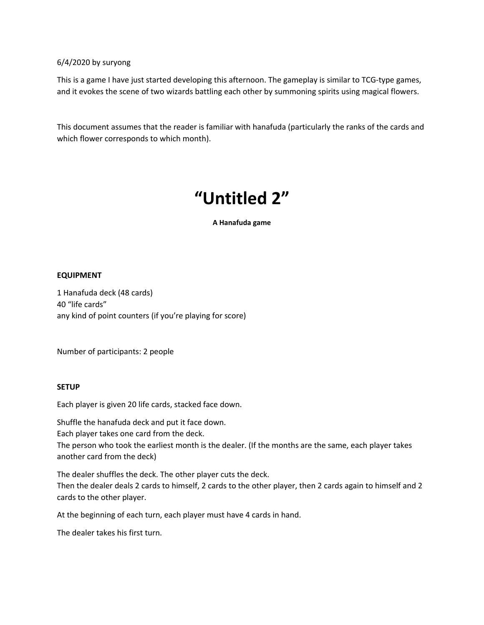## 6/4/2020 by suryong

This is a game I have just started developing this afternoon. The gameplay is similar to TCG-type games, and it evokes the scene of two wizards battling each other by summoning spirits using magical flowers.

This document assumes that the reader is familiar with hanafuda (particularly the ranks of the cards and which flower corresponds to which month).

# **"Untitled 2"**

**A Hanafuda game**

#### **EQUIPMENT**

1 Hanafuda deck (48 cards) 40 "life cards" any kind of point counters (if you're playing for score)

Number of participants: 2 people

## **SETUP**

Each player is given 20 life cards, stacked face down.

Shuffle the hanafuda deck and put it face down.

Each player takes one card from the deck.

The person who took the earliest month is the dealer. (If the months are the same, each player takes another card from the deck)

The dealer shuffles the deck. The other player cuts the deck.

Then the dealer deals 2 cards to himself, 2 cards to the other player, then 2 cards again to himself and 2 cards to the other player.

At the beginning of each turn, each player must have 4 cards in hand.

The dealer takes his first turn.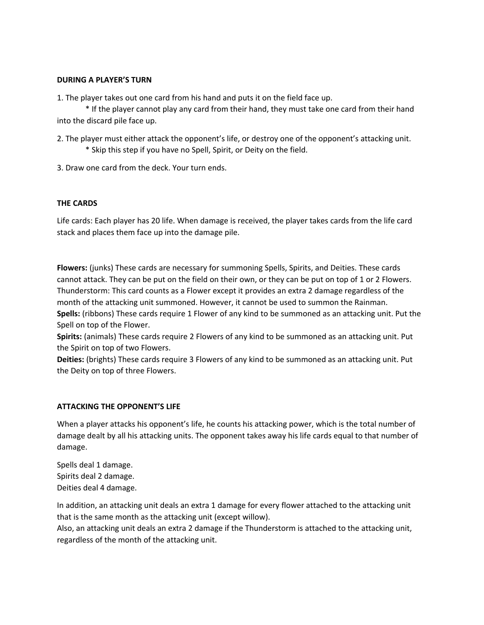#### **DURING A PLAYER'S TURN**

1. The player takes out one card from his hand and puts it on the field face up.

\* If the player cannot play any card from their hand, they must take one card from their hand into the discard pile face up.

- 2. The player must either attack the opponent's life, or destroy one of the opponent's attacking unit. \* Skip this step if you have no Spell, Spirit, or Deity on the field.
- 3. Draw one card from the deck. Your turn ends.

## **THE CARDS**

Life cards: Each player has 20 life. When damage is received, the player takes cards from the life card stack and places them face up into the damage pile.

**Flowers:** (junks) These cards are necessary for summoning Spells, Spirits, and Deities. These cards cannot attack. They can be put on the field on their own, or they can be put on top of 1 or 2 Flowers. Thunderstorm: This card counts as a Flower except it provides an extra 2 damage regardless of the month of the attacking unit summoned. However, it cannot be used to summon the Rainman. **Spells:** (ribbons) These cards require 1 Flower of any kind to be summoned as an attacking unit. Put the Spell on top of the Flower.

**Spirits:** (animals) These cards require 2 Flowers of any kind to be summoned as an attacking unit. Put the Spirit on top of two Flowers.

**Deities:** (brights) These cards require 3 Flowers of any kind to be summoned as an attacking unit. Put the Deity on top of three Flowers.

## **ATTACKING THE OPPONENT'S LIFE**

When a player attacks his opponent's life, he counts his attacking power, which is the total number of damage dealt by all his attacking units. The opponent takes away his life cards equal to that number of damage.

Spells deal 1 damage. Spirits deal 2 damage. Deities deal 4 damage.

In addition, an attacking unit deals an extra 1 damage for every flower attached to the attacking unit that is the same month as the attacking unit (except willow).

Also, an attacking unit deals an extra 2 damage if the Thunderstorm is attached to the attacking unit, regardless of the month of the attacking unit.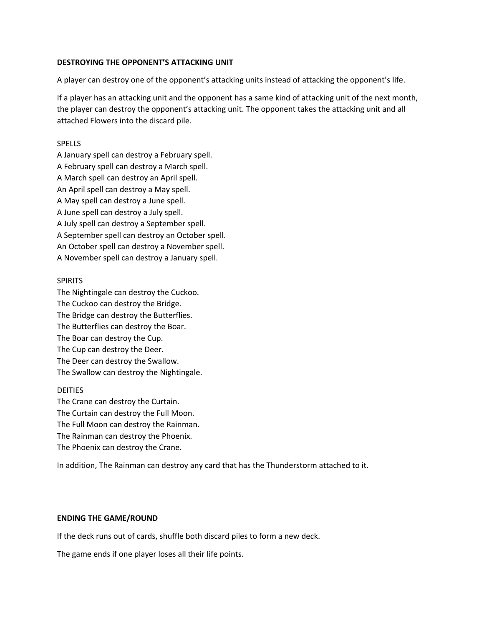#### **DESTROYING THE OPPONENT'S ATTACKING UNIT**

A player can destroy one of the opponent's attacking units instead of attacking the opponent's life.

If a player has an attacking unit and the opponent has a same kind of attacking unit of the next month, the player can destroy the opponent's attacking unit. The opponent takes the attacking unit and all attached Flowers into the discard pile.

#### SPELLS

A January spell can destroy a February spell. A February spell can destroy a March spell. A March spell can destroy an April spell. An April spell can destroy a May spell. A May spell can destroy a June spell. A June spell can destroy a July spell. A July spell can destroy a September spell. A September spell can destroy an October spell. An October spell can destroy a November spell. A November spell can destroy a January spell.

#### SPIRITS

The Nightingale can destroy the Cuckoo. The Cuckoo can destroy the Bridge. The Bridge can destroy the Butterflies. The Butterflies can destroy the Boar. The Boar can destroy the Cup. The Cup can destroy the Deer. The Deer can destroy the Swallow. The Swallow can destroy the Nightingale.

## DEITIES

The Crane can destroy the Curtain. The Curtain can destroy the Full Moon. The Full Moon can destroy the Rainman. The Rainman can destroy the Phoenix. The Phoenix can destroy the Crane.

In addition, The Rainman can destroy any card that has the Thunderstorm attached to it.

#### **ENDING THE GAME/ROUND**

If the deck runs out of cards, shuffle both discard piles to form a new deck.

The game ends if one player loses all their life points.